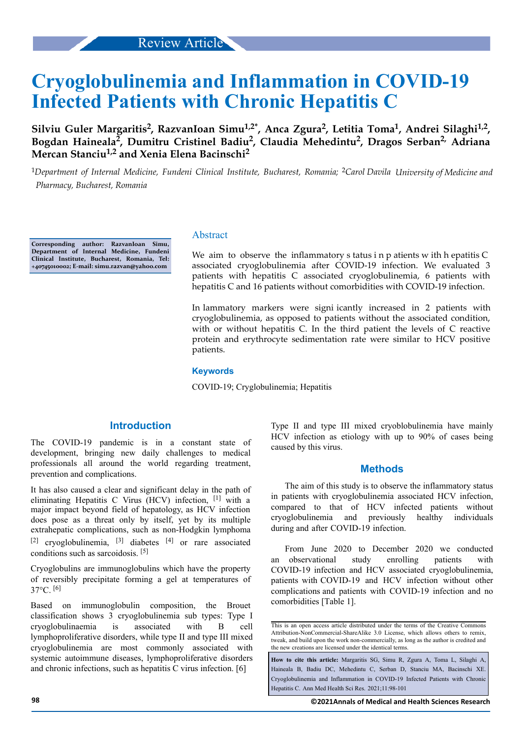# **Cryoglobulinemia and Inflammation in COVID-19 Infected Patients with Chronic Hepatitis C**

**Silviu Guler Margaritis<sup>2</sup> , RazvanIoan Simu1,2\*, Anca Zgura<sup>2</sup> , Letitia Toma<sup>1</sup> , Andrei Silaghi1,2 , Bogdan Haineala<sup>2</sup> , Dumitru Cristinel Badiu<sup>2</sup> , Claudia Mehedintu<sup>2</sup> , Dragos Serban2, Adriana Mercan Stanciu1,2 and Xenia Elena Bacinschi<sup>2</sup>**

<sup>1</sup>Department of Internal Medicine, Fundeni Clinical Institute, Bucharest, Romania; <sup>2</sup>Carol Davila University of Medicine and *Pharmacy, Bucharest, Romania*

**Corresponding author: RazvanIoan Simu, Department of Internal Medicine, Fundeni Clinical Institute, Bucharest, Romania, Tel: +40745010002; E-mail: simu.razvan@yahoo.com**

## Abstract

We aim to observe the inflammatory s tatus  $i$  n p atients w ith h epatitis C associated cryoglobulinemia after COVID-19 infection. We evaluated 3 patients with hepatitis C associated cryoglobulinemia, 6 patients with hepatitis C and 16 patients without comorbidities with COVID-19 infection.

In lammatory markers were signi icantly increased in 2 patients with cryoglobulinemia, as opposed to patients without the associated condition, with or without hepatitis C. In the third patient the levels of C reactive protein and erythrocyte sedimentation rate were similar to HCV positive patients.

#### **Keywords**

COVID-19; Cryglobulinemia; Hepatitis

## **Introduction**

The COVID-19 pandemic is in a constant state of development, bringing new daily challenges to medical professionals all around the world regarding treatment, prevention and complications.

It has also caused a clear and significant delay in the path of eliminating Hepatitis C Virus (HCV) infection, [1] with a major impact beyond field of hepatology, as HCV infection does pose as a threat only by itself, yet by its multiple extrahepatic complications, such as non-Hodgkin lymphoma [2] cryoglobulinemia,  $[3]$  diabetes  $[4]$  or rare associated conditions such as sarcoidosis. [5]

Cryoglobulins are immunoglobulins which have the property of reversibly precipitate forming a gel at temperatures of 37°C. [6]

Based on immunoglobulin composition, the Brouet classification shows 3 cryoglobulinemia sub types: Type I cryoglobulinaemia is associated with B cell lymphoproliferative disorders, while type II and type III mixed cryoglobulinemia are most commonly associated with systemic autoimmune diseases, lymphoproliferative disorders and chronic infections, such as hepatitis C virus infection. [6]

Type II and type III mixed cryoblobulinemia have mainly HCV infection as etiology with up to 90% of cases being caused by this virus.

## **Methods**

The aim of this study is to observe the inflammatory status in patients with cryoglobulinemia associated HCV infection, compared to that of HCV infected patients without cryoglobulinemia and previously healthy individuals during and after COVID-19 infection.

From June 2020 to December 2020 we conducted an observational study enrolling patients with COVID-19 infection and HCV associated cryoglobulinemia, patients with COVID-19 and HCV infection without other complications and patients with COVID-19 infection and no comorbidities [Table 1].

This is an open access article distributed under the terms of the Creative Commons Attribution-NonCommercial-ShareAlike 3.0 License, which allows others to remix, tweak, and build upon the work non‑commercially, as long as the author is credited and the new creations are licensed under the identical terms.

**How to cite this article:** Margaritis SG, Simu R, Zgura A, Toma L, Silaghi A, Haineala B, Badiu DC, Mehedintu C, Serban D, Stanciu MA, Bacinschi XE. Cryoglobulinemia and Inflammation in COVID-19 Infected Patients with Chronic Hepatitis C. Ann Med Health Sci Res. 2021;11:98-101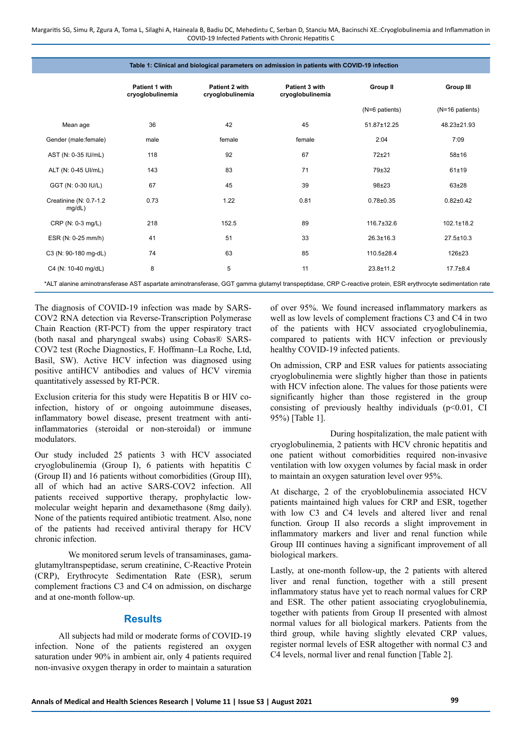Margaritis SG, Simu R, Zgura A, Toma L, Silaghi A, Haineala B, Badiu DC, Mehedintu C, Serban D, Stanciu MA, Bacinschi XE.:Cryoglobulinemia and Inflammation in COVID-19 Infected Patients with Chronic Hepatitis C

| Table 1: Clinical and biological parameters on admission in patients with COVID-19 infection                                                                |                                    |                                                                          |        |                  |                  |  |  |  |
|-------------------------------------------------------------------------------------------------------------------------------------------------------------|------------------------------------|--------------------------------------------------------------------------|--------|------------------|------------------|--|--|--|
|                                                                                                                                                             | Patient 1 with<br>cryoglobulinemia | Patient 2 with<br>Patient 3 with<br>cryoglobulinemia<br>cryoglobulinemia |        | <b>Group II</b>  | <b>Group III</b> |  |  |  |
|                                                                                                                                                             |                                    |                                                                          |        | (N=6 patients)   | (N=16 patients)  |  |  |  |
| Mean age                                                                                                                                                    | 36                                 | 42                                                                       | 45     | 51.87±12.25      | 48.23±21.93      |  |  |  |
| Gender (male:female)                                                                                                                                        | male                               | female                                                                   | female | 2:04             | 7:09             |  |  |  |
| AST (N: 0-35 IU/mL)                                                                                                                                         | 118                                | 92                                                                       | 67     | $72 + 21$        | $58 + 16$        |  |  |  |
| ALT (N: 0-45 UI/mL)                                                                                                                                         | 143                                | 83                                                                       | 71     | 79±32            | 61±19            |  |  |  |
| GGT (N: 0-30 IU/L)                                                                                                                                          | 67                                 | 45                                                                       | 39     | $98 + 23$        | $63 + 28$        |  |  |  |
| Creatinine (N: 0.7-1.2<br>mg/dL)                                                                                                                            | 0.73                               | 1.22                                                                     | 0.81   | $0.78 + 0.35$    | $0.82 \pm 0.42$  |  |  |  |
| CRP (N: 0-3 mg/L)                                                                                                                                           | 218                                | 152.5                                                                    | 89     | $116.7 \pm 32.6$ | $102.1 \pm 18.2$ |  |  |  |
| ESR (N: 0-25 mm/h)                                                                                                                                          | 41                                 | 51                                                                       | 33     | $26.3 \pm 16.3$  | $27.5 \pm 10.3$  |  |  |  |
| C3 (N: 90-180 mg-dL)                                                                                                                                        | 74                                 | 63                                                                       | 85     | $110.5 \pm 28.4$ | $126 \pm 23$     |  |  |  |
| C4 (N: 10-40 mg/dL)                                                                                                                                         | 8                                  | 5                                                                        | 11     | $23.8 \pm 11.2$  | $17.7 \pm 8.4$   |  |  |  |
| *ALT alanine aminotransferase AST aspartate aminotransferase, GGT gamma glutamyl transpeptidase, CRP C-reactive protein, ESR erythrocyte sedimentation rate |                                    |                                                                          |        |                  |                  |  |  |  |

The diagnosis of COVID-19 infection was made by SARS-COV2 RNA detection via Reverse-Transcription Polymerase Chain Reaction (RT-PCT) from the upper respiratory tract (both nasal and pharyngeal swabs) using Cobas® SARS-COV2 test (Roche Diagnostics, F. Hoffmann–La Roche, Ltd, Basil, SW). Active HCV infection was diagnosed using positive antiHCV antibodies and values of HCV viremia quantitatively assessed by RT-PCR.

Exclusion criteria for this study were Hepatitis B or HIV coinfection, history of or ongoing autoimmune diseases, inflammatory bowel disease, present treatment with antiinflammatories (steroidal or non-steroidal) or immune modulators.

Our study included 25 patients 3 with HCV associated cryoglobulinemia (Group I), 6 patients with hepatitis C (Group II) and 16 patients without comorbidities (Group III), all of which had an active SARS-COV2 infection. All patients received supportive therapy, prophylactic lowmolecular weight heparin and dexamethasone (8mg daily). None of the patients required antibiotic treatment. Also, none of the patients had received antiviral therapy for HCV chronic infection.

We monitored serum levels of transaminases, gamaglutamyltranspeptidase, serum creatinine, C-Reactive Protein (CRP), Erythrocyte Sedimentation Rate (ESR), serum complement fractions C3 and C4 on admission, on discharge and at one-month follow-up.

# **Results**

All subjects had mild or moderate forms of COVID-19 infection. None of the patients registered an oxygen saturation under 90% in ambient air, only 4 patients required non-invasive oxygen therapy in order to maintain a saturation of over 95%. We found increased inflammatory markers as well as low levels of complement fractions C3 and C4 in two of the patients with HCV associated cryoglobulinemia, compared to patients with HCV infection or previously healthy COVID-19 infected patients.

On admission, CRP and ESR values for patients associating cryoglobulinemia were slightly higher than those in patients with HCV infection alone. The values for those patients were significantly higher than those registered in the group consisting of previously healthy individuals  $(p<0.01, C1)$ 95%) [Table 1].

During hospitalization, the male patient with cryoglobulinemia, 2 patients with HCV chronic hepatitis and one patient without comorbidities required non-invasive ventilation with low oxygen volumes by facial mask in order to maintain an oxygen saturation level over 95%.

At discharge, 2 of the cryoblobulinemia associated HCV patients maintained high values for CRP and ESR, together with low C3 and C4 levels and altered liver and renal function. Group II also records a slight improvement in inflammatory markers and liver and renal function while Group III continues having a significant improvement of all biological markers.

Lastly, at one-month follow-up, the 2 patients with altered liver and renal function, together with a still present inflammatory status have yet to reach normal values for CRP and ESR. The other patient associating cryoglobulinemia, together with patients from Group II presented with almost normal values for all biological markers. Patients from the third group, while having slightly elevated CRP values, register normal levels of ESR altogether with normal C3 and C4 levels, normal liver and renal function [Table 2].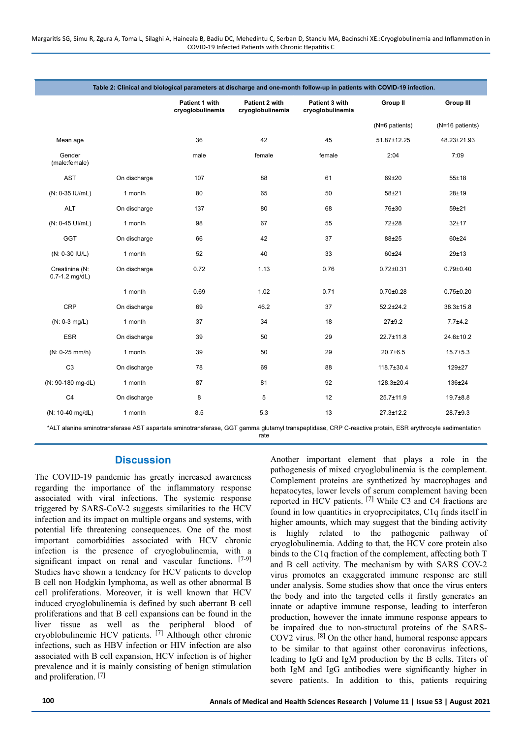| Table 2: Clinical and biological parameters at discharge and one-month follow-up in patients with COVID-19 infection. |              |                                    |                                    |                                    |                 |                  |  |  |  |  |
|-----------------------------------------------------------------------------------------------------------------------|--------------|------------------------------------|------------------------------------|------------------------------------|-----------------|------------------|--|--|--|--|
|                                                                                                                       |              | Patient 1 with<br>cryoglobulinemia | Patient 2 with<br>cryoglobulinemia | Patient 3 with<br>cryoglobulinemia | <b>Group II</b> | <b>Group III</b> |  |  |  |  |
|                                                                                                                       |              |                                    |                                    |                                    | (N=6 patients)  | (N=16 patients)  |  |  |  |  |
| Mean age                                                                                                              |              | 36                                 | 42                                 | 45                                 | 51.87±12.25     | 48.23±21.93      |  |  |  |  |
| Gender<br>(male:female)                                                                                               |              | male                               | female                             | female                             | 2:04            | 7:09             |  |  |  |  |
| <b>AST</b>                                                                                                            | On discharge | 107                                | 88                                 | 61                                 | 69±20           | $55 + 18$        |  |  |  |  |
| (N: 0-35 IU/mL)                                                                                                       | 1 month      | 80                                 | 65                                 | 50                                 | $58 + 21$       | $28 + 19$        |  |  |  |  |
| <b>ALT</b>                                                                                                            | On discharge | 137                                | 80                                 | 68                                 | 76±30           | $59 + 21$        |  |  |  |  |
| (N: 0-45 UI/mL)                                                                                                       | 1 month      | 98                                 | 67                                 | 55                                 | 72±28           | 32±17            |  |  |  |  |
| GGT                                                                                                                   | On discharge | 66                                 | 42                                 | 37                                 | 88±25           | 60±24            |  |  |  |  |
| (N: 0-30 IU/L)                                                                                                        | 1 month      | 52                                 | 40                                 | 33                                 | $60 + 24$       | 29±13            |  |  |  |  |
| Creatinine (N:<br>$0.7 - 1.2$ mg/dL)                                                                                  | On discharge | 0.72                               | 1.13                               | 0.76                               | $0.72 \pm 0.31$ | $0.79 \pm 0.40$  |  |  |  |  |
|                                                                                                                       | 1 month      | 0.69                               | 1.02                               | 0.71                               | $0.70 \pm 0.28$ | $0.75 \pm 0.20$  |  |  |  |  |
| <b>CRP</b>                                                                                                            | On discharge | 69                                 | 46.2                               | 37                                 | $52.2 \pm 24.2$ | $38.3 \pm 15.8$  |  |  |  |  |
| $(N: 0-3$ mg/L)                                                                                                       | 1 month      | 37                                 | 34                                 | 18                                 | $27 + 9.2$      | $7.7 + 4.2$      |  |  |  |  |
| <b>ESR</b>                                                                                                            | On discharge | 39                                 | 50                                 | 29                                 | $22.7 \pm 11.8$ | 24.6±10.2        |  |  |  |  |
| (N: 0-25 mm/h)                                                                                                        | 1 month      | 39                                 | 50                                 | 29                                 | $20.7 + 6.5$    | $15.7 \pm 5.3$   |  |  |  |  |
| C <sub>3</sub>                                                                                                        | On discharge | 78                                 | 69                                 | 88                                 | 118.7±30.4      | 129±27           |  |  |  |  |
| (N: 90-180 mg-dL)                                                                                                     | 1 month      | 87                                 | 81                                 | 92                                 | 128.3±20.4      | 136±24           |  |  |  |  |
| C <sub>4</sub>                                                                                                        | On discharge | 8                                  | 5                                  | 12                                 | $25.7 \pm 11.9$ | $19.7 \pm 8.8$   |  |  |  |  |
| (N: 10-40 mg/dL)                                                                                                      | 1 month      | 8.5                                | 5.3                                | 13                                 | $27.3 \pm 12.2$ | $28.7 \pm 9.3$   |  |  |  |  |

\*ALT alanine aminotransferase AST aspartate aminotransferase, GGT gamma glutamyl transpeptidase, CRP C-reactive protein, ESR erythrocyte sedimentation rate

# **Discussion**

The COVID-19 pandemic has greatly increased awareness regarding the importance of the inflammatory response associated with viral infections. The systemic response triggered by SARS-CoV-2 suggests similarities to the HCV infection and its impact on multiple organs and systems, with potential life threatening consequences. One of the most important comorbidities associated with HCV chronic infection is the presence of cryoglobulinemia, with a significant impact on renal and vascular functions. [7-9] Studies have shown a tendency for HCV patients to develop B cell non Hodgkin lymphoma, as well as other abnormal B cell proliferations. Moreover, it is well known that HCV induced cryoglobulinemia is defined by such aberrant B cell proliferations and that B cell expansions can be found in the liver tissue as well as the peripheral blood of cryoblobulinemic HCV patients. [7] Although other chronic infections, such as HBV infection or HIV infection are also associated with B cell expansion, HCV infection is of higher prevalence and it is mainly consisting of benign stimulation and proliferation.<sup>[7]</sup>

Another important element that plays a role in the pathogenesis of mixed cryoglobulinemia is the complement. Complement proteins are synthetized by macrophages and hepatocytes, lower levels of serum complement having been reported in HCV patients. [7] While C3 and C4 fractions are found in low quantities in cryoprecipitates, C1q finds itself in higher amounts, which may suggest that the binding activity is highly related to the pathogenic pathway of cryoglobulinemia. Adding to that, the HCV core protein also binds to the C1q fraction of the complement, affecting both T and B cell activity. The mechanism by with SARS COV-2 virus promotes an exaggerated immune response are still under analysis. Some studies show that once the virus enters the body and into the targeted cells it firstly generates an innate or adaptive immune response, leading to interferon production, however the innate immune response appears to be impaired due to non-structural proteins of the SARS-COV2 virus. [8] On the other hand, humoral response appears to be similar to that against other coronavirus infections, leading to IgG and IgM production by the B cells. Titers of both IgM and IgG antibodies were significantly higher in severe patients. In addition to this, patients requiring